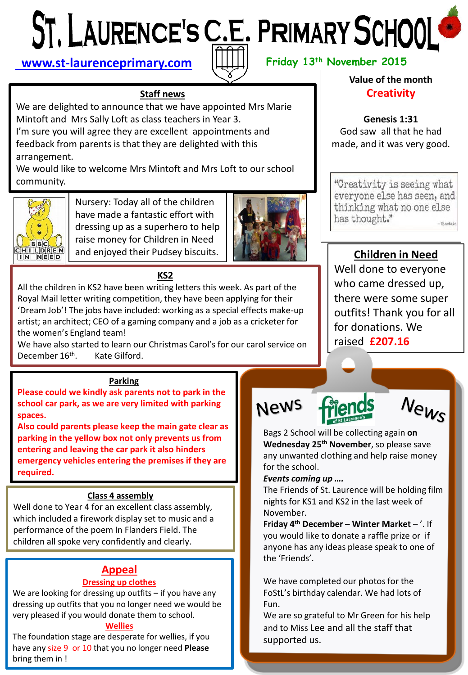# **[www.st-laurenceprimary.com](http://www.st-laurenceprimary.com/)**  $||\downarrow|| \downarrow||$  Friday 13<sup>th</sup> November 2015



### **Staff news**

We are delighted to announce that we have appointed Mrs Marie Mintoft and Mrs Sally Loft as class teachers in Year 3. I'm sure you will agree they are excellent appointments and feedback from parents is that they are delighted with this arrangement.

We would like to welcome Mrs Mintoft and Mrs Loft to our school community.



Nursery: Today all of the children have made a fantastic effort with dressing up as a superhero to help raise money for Children in Need and enjoyed their Pudsey biscuits.



#### **KS2**

All the children in KS2 have been writing letters this week. As part of the Royal Mail letter writing competition, they have been applying for their 'Dream Job'! The jobs have included: working as a special effects make-up artist; an architect; CEO of a gaming company and a job as a cricketer for the women's England team!

We have also started to learn our Christmas Carol's for our carol service on December 16<sup>th</sup>. Kate Gilford.

#### **Parking**

**Please could we kindly ask parents not to park in the school car park, as we are very limited with parking spaces.** 

**Also could parents please keep the main gate clear as parking in the yellow box not only prevents us from entering and leaving the car park it also hinders emergency vehicles entering the premises if they are required.**

#### **Class 4 assembly**

Well done to Year 4 for an excellent class assembly, which included a firework display set to music and a performance of the poem In Flanders Field. The children all spoke very confidently and clearly.

# **Appeal**

#### **Dressing up clothes**

We are looking for dressing up outfits – if you have any dressing up outfits that you no longer need we would be very pleased if you would donate them to school.

#### **Wellies**

The foundation stage are desperate for wellies, if you have any size 9 or 10 that you no longer need **Please** bring them in !

## **Value of the month Creativity**

**Genesis 1:31** God saw all that he had made, and it was very good.

"Creativity is seeing what everyone else has seen, and thinking what no one else has thought."  $-$ Pinetain

# **Children in Need**

Well done to everyone who came dressed up, there were some super outfits! Thank you for all for donations. We raised **£207.16**

**News** 





Bags 2 School will be collecting again **on Wednesday 25th November**, so please save any unwanted clothing and help raise money for the school.

#### *Events coming up ….*

The Friends of St. Laurence will be holding film nights for KS1 and KS2 in the last week of November.

**Friday 4 th December – Winter Market** – '. If you would like to donate a raffle prize or if anyone has any ideas please speak to one of the 'Friends'.

We have completed our photos for the FoStL's birthday calendar. We had lots of Fun.

We are so grateful to Mr Green for his help and to Miss Lee and all the staff that supported us.